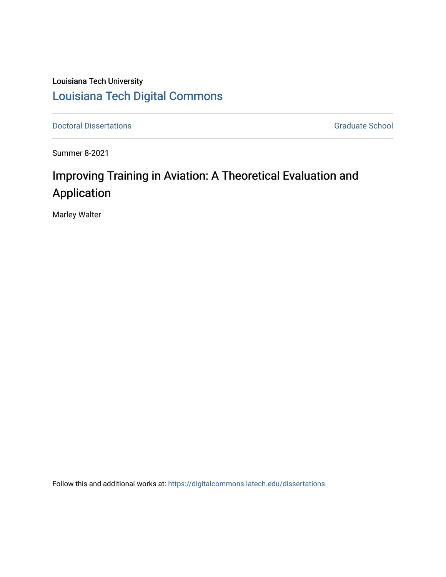## Louisiana Tech University [Louisiana Tech Digital Commons](https://digitalcommons.latech.edu/)

**Doctoral Dissertations** Graduate School

Summer 8-2021

# Improving Training in Aviation: A Theoretical Evaluation and Application

Marley Walter

Follow this and additional works at: [https://digitalcommons.latech.edu/dissertations](https://digitalcommons.latech.edu/dissertations?utm_source=digitalcommons.latech.edu%2Fdissertations%2F932&utm_medium=PDF&utm_campaign=PDFCoverPages)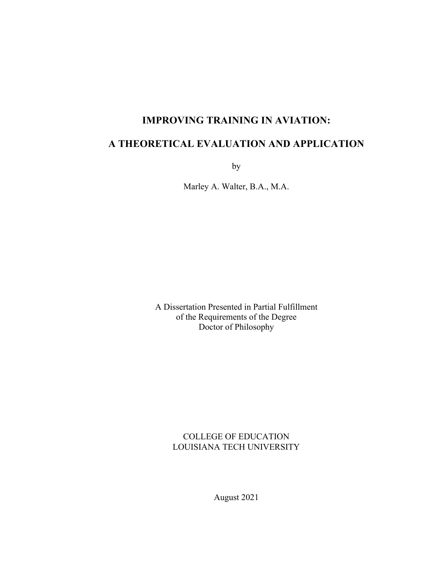## **IMPROVING TRAINING IN AVIATION:**

## **A THEORETICAL EVALUATION AND APPLICATION**

by

Marley A. Walter, B.A., M.A.

A Dissertation Presented in Partial Fulfillment of the Requirements of the Degree Doctor of Philosophy

#### COLLEGE OF EDUCATION LOUISIANA TECH UNIVERSITY

August 2021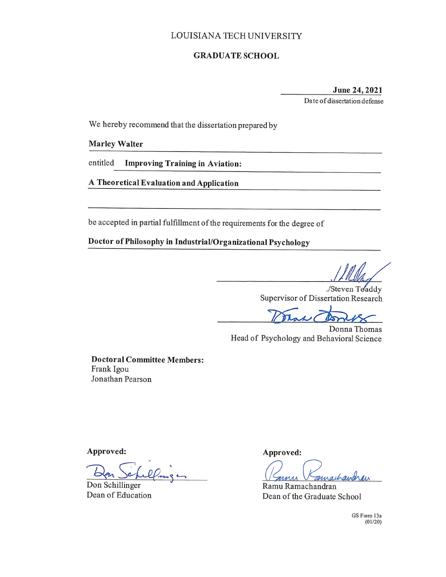#### LOUISIANA TECH UNIVERSITY

#### **GRADUATE SCHOOL**

# June 24, 2021

Date of dissertation defense

We hereby recommend that the dissertation prepared by

#### **Marley Walter**

entitled **Improving Training in Aviation:** 

A Theoretical Evaluation and Application

be accepted in partial fulfillment of the requirements for the degree of

Doctor of Philosophy in Industrial/Organizational Psychology

./Steven Toaddy Supervisor of Dissertation Research

Mak 1

Donna Thomas Head of Psychology and Behavioral Science

**Doctoral Committee Members:** Frank Igou Jonathan Pearson

Approved:

Don Schillinger Dean of Education

Approved:

achandrain

Ramu Ramachandran Dean of the Graduate School

GS Form 13a  $(01/20)$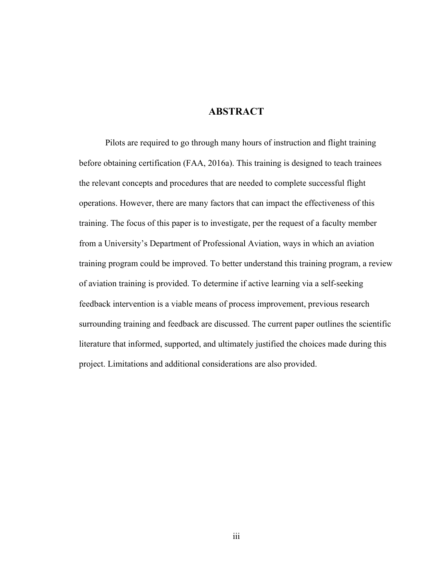### **ABSTRACT**

Pilots are required to go through many hours of instruction and flight training before obtaining certification (FAA, 2016a). This training is designed to teach trainees the relevant concepts and procedures that are needed to complete successful flight operations. However, there are many factors that can impact the effectiveness of this training. The focus of this paper is to investigate, per the request of a faculty member from a University's Department of Professional Aviation, ways in which an aviation training program could be improved. To better understand this training program, a review of aviation training is provided. To determine if active learning via a self-seeking feedback intervention is a viable means of process improvement, previous research surrounding training and feedback are discussed. The current paper outlines the scientific literature that informed, supported, and ultimately justified the choices made during this project. Limitations and additional considerations are also provided.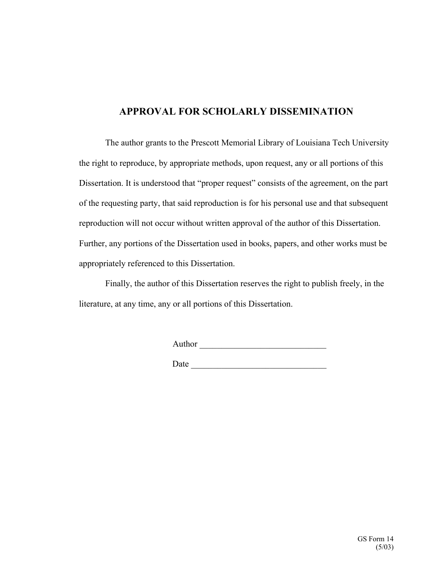## **APPROVAL FOR SCHOLARLY DISSEMINATION**

The author grants to the Prescott Memorial Library of Louisiana Tech University the right to reproduce, by appropriate methods, upon request, any or all portions of this Dissertation. It is understood that "proper request" consists of the agreement, on the part of the requesting party, that said reproduction is for his personal use and that subsequent reproduction will not occur without written approval of the author of this Dissertation. Further, any portions of the Dissertation used in books, papers, and other works must be appropriately referenced to this Dissertation.

Finally, the author of this Dissertation reserves the right to publish freely, in the literature, at any time, any or all portions of this Dissertation.

Author \_\_\_\_\_\_\_\_\_\_\_\_\_\_\_\_\_\_\_\_\_\_\_\_\_\_\_\_\_

Date  $\qquad \qquad$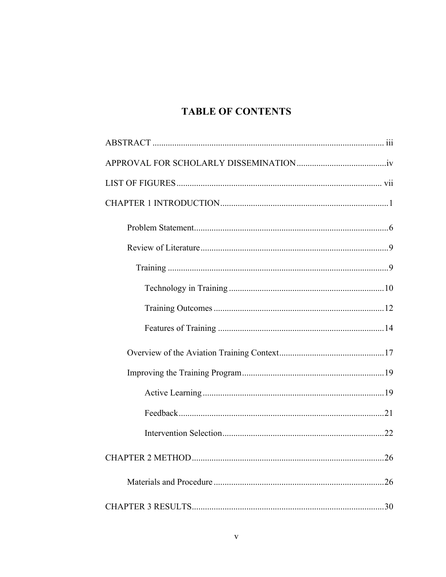## **TABLE OF CONTENTS**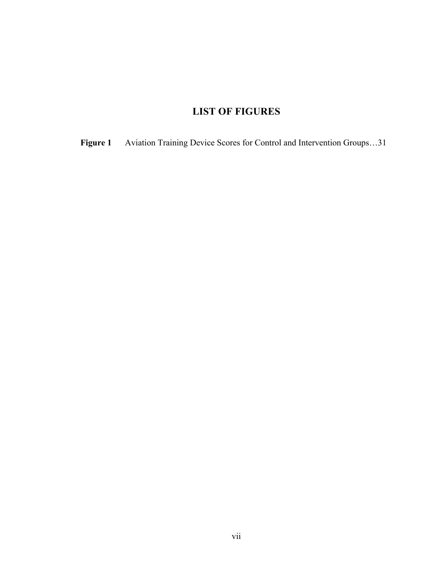## **LIST OF FIGURES**

**Figure 1** Aviation Training Device Scores for Control and Intervention Groups…31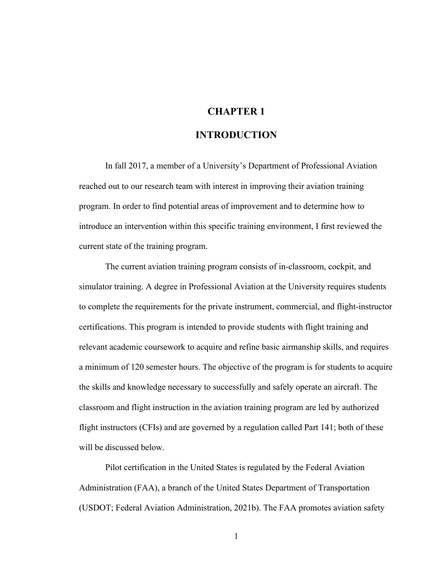### **CHAPTER 1**

#### **INTRODUCTION**

In fall 2017, a member of a University's Department of Professional Aviation reached out to our research team with interest in improving their aviation training program. In order to find potential areas of improvement and to determine how to introduce an intervention within this specific training environment, I first reviewed the current state of the training program.

The current aviation training program consists of in-classroom, cockpit, and simulator training. A degree in Professional Aviation at the University requires students to complete the requirements for the private instrument, commercial, and flight-instructor certifications. This program is intended to provide students with flight training and relevant academic coursework to acquire and refine basic airmanship skills, and requires a minimum of 120 semester hours. The objective of the program is for students to acquire the skills and knowledge necessary to successfully and safely operate an aircraft. The classroom and flight instruction in the aviation training program are led by authorized flight instructors (CFIs) and are governed by a regulation called Part 141; both of these will be discussed below.

Pilot certification in the United States is regulated by the Federal Aviation Administration (FAA), a branch of the United States Department of Transportation (USDOT; Federal Aviation Administration, 2021b). The FAA promotes aviation safety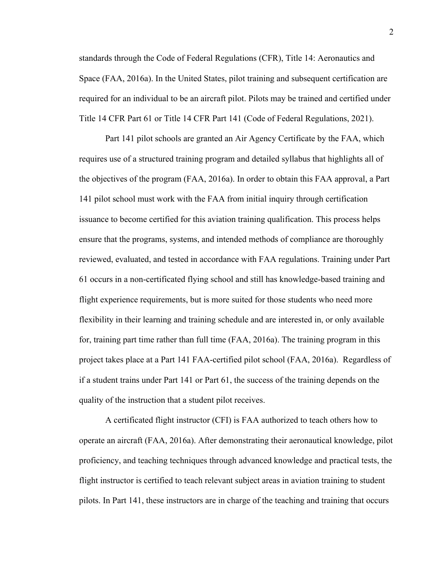standards through the Code of Federal Regulations (CFR), Title 14: Aeronautics and Space (FAA, 2016a). In the United States, pilot training and subsequent certification are required for an individual to be an aircraft pilot. Pilots may be trained and certified under Title 14 CFR Part 61 or Title 14 CFR Part 141 (Code of Federal Regulations, 2021).

Part 141 pilot schools are granted an Air Agency Certificate by the FAA, which requires use of a structured training program and detailed syllabus that highlights all of the objectives of the program (FAA, 2016a). In order to obtain this FAA approval, a Part 141 pilot school must work with the FAA from initial inquiry through certification issuance to become certified for this aviation training qualification. This process helps ensure that the programs, systems, and intended methods of compliance are thoroughly reviewed, evaluated, and tested in accordance with FAA regulations. Training under Part 61 occurs in a non-certificated flying school and still has knowledge-based training and flight experience requirements, but is more suited for those students who need more flexibility in their learning and training schedule and are interested in, or only available for, training part time rather than full time (FAA, 2016a). The training program in this project takes place at a Part 141 FAA-certified pilot school (FAA, 2016a). Regardless of if a student trains under Part 141 or Part 61, the success of the training depends on the quality of the instruction that a student pilot receives.

A certificated flight instructor (CFI) is FAA authorized to teach others how to operate an aircraft (FAA, 2016a). After demonstrating their aeronautical knowledge, pilot proficiency, and teaching techniques through advanced knowledge and practical tests, the flight instructor is certified to teach relevant subject areas in aviation training to student pilots. In Part 141, these instructors are in charge of the teaching and training that occurs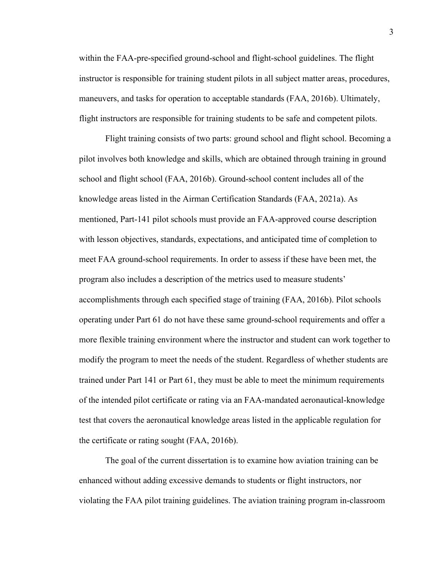within the FAA-pre-specified ground-school and flight-school guidelines. The flight instructor is responsible for training student pilots in all subject matter areas, procedures, maneuvers, and tasks for operation to acceptable standards (FAA, 2016b). Ultimately, flight instructors are responsible for training students to be safe and competent pilots.

Flight training consists of two parts: ground school and flight school. Becoming a pilot involves both knowledge and skills, which are obtained through training in ground school and flight school (FAA, 2016b). Ground-school content includes all of the knowledge areas listed in the Airman Certification Standards (FAA, 2021a). As mentioned, Part-141 pilot schools must provide an FAA-approved course description with lesson objectives, standards, expectations, and anticipated time of completion to meet FAA ground-school requirements. In order to assess if these have been met, the program also includes a description of the metrics used to measure students' accomplishments through each specified stage of training (FAA, 2016b). Pilot schools operating under Part 61 do not have these same ground-school requirements and offer a more flexible training environment where the instructor and student can work together to modify the program to meet the needs of the student. Regardless of whether students are trained under Part 141 or Part 61, they must be able to meet the minimum requirements of the intended pilot certificate or rating via an FAA-mandated aeronautical-knowledge test that covers the aeronautical knowledge areas listed in the applicable regulation for the certificate or rating sought (FAA, 2016b).

The goal of the current dissertation is to examine how aviation training can be enhanced without adding excessive demands to students or flight instructors, nor violating the FAA pilot training guidelines. The aviation training program in-classroom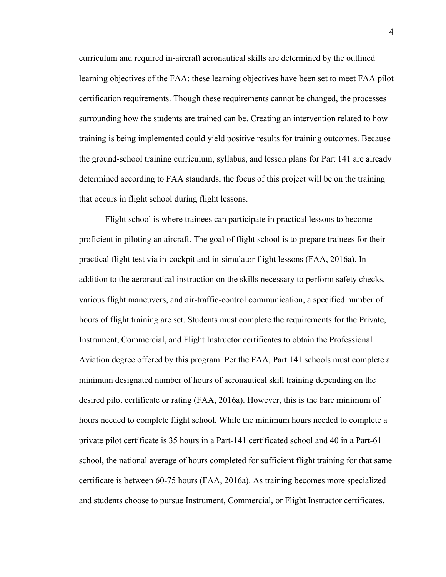curriculum and required in-aircraft aeronautical skills are determined by the outlined learning objectives of the FAA; these learning objectives have been set to meet FAA pilot certification requirements. Though these requirements cannot be changed, the processes surrounding how the students are trained can be. Creating an intervention related to how training is being implemented could yield positive results for training outcomes. Because the ground-school training curriculum, syllabus, and lesson plans for Part 141 are already determined according to FAA standards, the focus of this project will be on the training that occurs in flight school during flight lessons.

Flight school is where trainees can participate in practical lessons to become proficient in piloting an aircraft. The goal of flight school is to prepare trainees for their practical flight test via in-cockpit and in-simulator flight lessons (FAA, 2016a). In addition to the aeronautical instruction on the skills necessary to perform safety checks, various flight maneuvers, and air-traffic-control communication, a specified number of hours of flight training are set. Students must complete the requirements for the Private, Instrument, Commercial, and Flight Instructor certificates to obtain the Professional Aviation degree offered by this program. Per the FAA, Part 141 schools must complete a minimum designated number of hours of aeronautical skill training depending on the desired pilot certificate or rating (FAA, 2016a). However, this is the bare minimum of hours needed to complete flight school. While the minimum hours needed to complete a private pilot certificate is 35 hours in a Part-141 certificated school and 40 in a Part-61 school, the national average of hours completed for sufficient flight training for that same certificate is between 60-75 hours (FAA, 2016a). As training becomes more specialized and students choose to pursue Instrument, Commercial, or Flight Instructor certificates,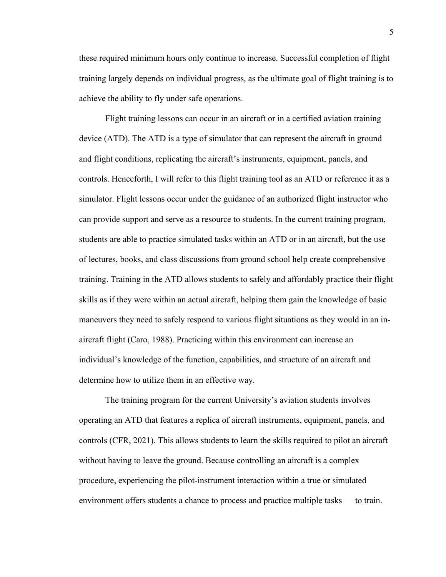these required minimum hours only continue to increase. Successful completion of flight training largely depends on individual progress, as the ultimate goal of flight training is to achieve the ability to fly under safe operations.

Flight training lessons can occur in an aircraft or in a certified aviation training device (ATD). The ATD is a type of simulator that can represent the aircraft in ground and flight conditions, replicating the aircraft's instruments, equipment, panels, and controls. Henceforth, I will refer to this flight training tool as an ATD or reference it as a simulator. Flight lessons occur under the guidance of an authorized flight instructor who can provide support and serve as a resource to students. In the current training program, students are able to practice simulated tasks within an ATD or in an aircraft, but the use of lectures, books, and class discussions from ground school help create comprehensive training. Training in the ATD allows students to safely and affordably practice their flight skills as if they were within an actual aircraft, helping them gain the knowledge of basic maneuvers they need to safely respond to various flight situations as they would in an inaircraft flight (Caro, 1988). Practicing within this environment can increase an individual's knowledge of the function, capabilities, and structure of an aircraft and determine how to utilize them in an effective way.

The training program for the current University's aviation students involves operating an ATD that features a replica of aircraft instruments, equipment, panels, and controls (CFR, 2021). This allows students to learn the skills required to pilot an aircraft without having to leave the ground. Because controlling an aircraft is a complex procedure, experiencing the pilot-instrument interaction within a true or simulated environment offers students a chance to process and practice multiple tasks — to train.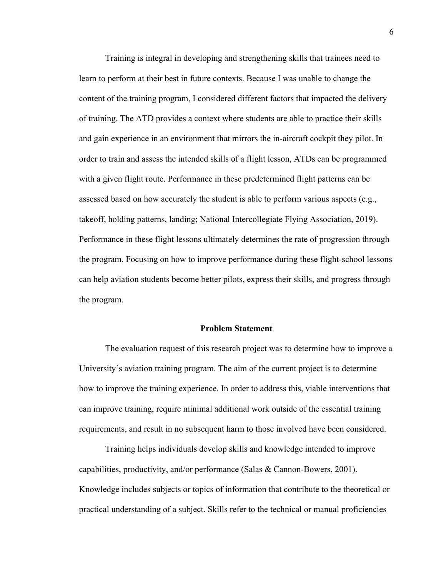Training is integral in developing and strengthening skills that trainees need to learn to perform at their best in future contexts. Because I was unable to change the content of the training program, I considered different factors that impacted the delivery of training. The ATD provides a context where students are able to practice their skills and gain experience in an environment that mirrors the in-aircraft cockpit they pilot. In order to train and assess the intended skills of a flight lesson, ATDs can be programmed with a given flight route. Performance in these predetermined flight patterns can be assessed based on how accurately the student is able to perform various aspects (e.g., takeoff, holding patterns, landing; National Intercollegiate Flying Association, 2019). Performance in these flight lessons ultimately determines the rate of progression through the program. Focusing on how to improve performance during these flight-school lessons can help aviation students become better pilots, express their skills, and progress through the program.

#### **Problem Statement**

The evaluation request of this research project was to determine how to improve a University's aviation training program. The aim of the current project is to determine how to improve the training experience. In order to address this, viable interventions that can improve training, require minimal additional work outside of the essential training requirements, and result in no subsequent harm to those involved have been considered.

Training helps individuals develop skills and knowledge intended to improve capabilities, productivity, and/or performance (Salas & Cannon-Bowers, 2001). Knowledge includes subjects or topics of information that contribute to the theoretical or practical understanding of a subject. Skills refer to the technical or manual proficiencies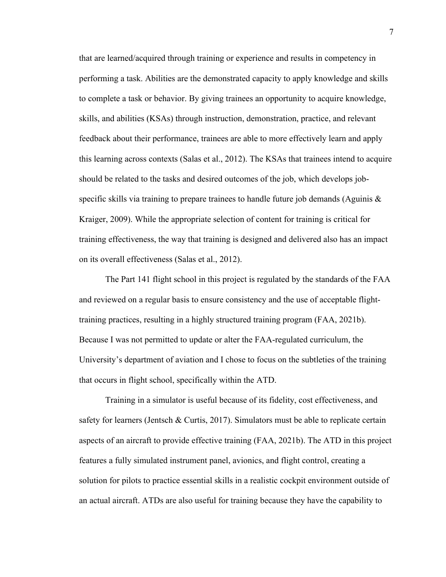that are learned/acquired through training or experience and results in competency in performing a task. Abilities are the demonstrated capacity to apply knowledge and skills to complete a task or behavior. By giving trainees an opportunity to acquire knowledge, skills, and abilities (KSAs) through instruction, demonstration, practice, and relevant feedback about their performance, trainees are able to more effectively learn and apply this learning across contexts (Salas et al., 2012). The KSAs that trainees intend to acquire should be related to the tasks and desired outcomes of the job, which develops jobspecific skills via training to prepare trainees to handle future job demands (Aguinis  $\&$ Kraiger, 2009). While the appropriate selection of content for training is critical for training effectiveness, the way that training is designed and delivered also has an impact on its overall effectiveness (Salas et al., 2012).

The Part 141 flight school in this project is regulated by the standards of the FAA and reviewed on a regular basis to ensure consistency and the use of acceptable flighttraining practices, resulting in a highly structured training program (FAA, 2021b). Because I was not permitted to update or alter the FAA-regulated curriculum, the University's department of aviation and I chose to focus on the subtleties of the training that occurs in flight school, specifically within the ATD.

Training in a simulator is useful because of its fidelity, cost effectiveness, and safety for learners (Jentsch & Curtis, 2017). Simulators must be able to replicate certain aspects of an aircraft to provide effective training (FAA, 2021b). The ATD in this project features a fully simulated instrument panel, avionics, and flight control, creating a solution for pilots to practice essential skills in a realistic cockpit environment outside of an actual aircraft. ATDs are also useful for training because they have the capability to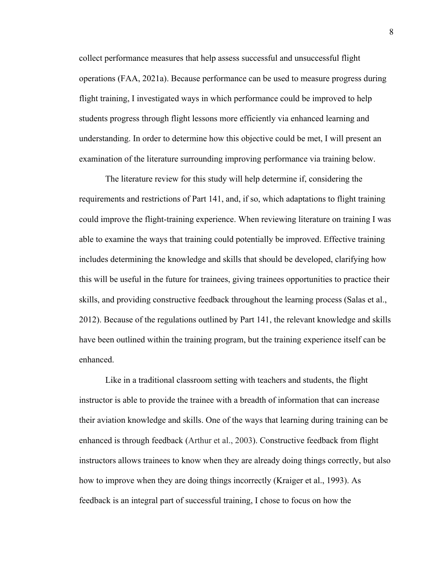collect performance measures that help assess successful and unsuccessful flight operations (FAA, 2021a). Because performance can be used to measure progress during flight training, I investigated ways in which performance could be improved to help students progress through flight lessons more efficiently via enhanced learning and understanding. In order to determine how this objective could be met, I will present an examination of the literature surrounding improving performance via training below.

The literature review for this study will help determine if, considering the requirements and restrictions of Part 141, and, if so, which adaptations to flight training could improve the flight-training experience. When reviewing literature on training I was able to examine the ways that training could potentially be improved. Effective training includes determining the knowledge and skills that should be developed, clarifying how this will be useful in the future for trainees, giving trainees opportunities to practice their skills, and providing constructive feedback throughout the learning process (Salas et al., 2012). Because of the regulations outlined by Part 141, the relevant knowledge and skills have been outlined within the training program, but the training experience itself can be enhanced.

Like in a traditional classroom setting with teachers and students, the flight instructor is able to provide the trainee with a breadth of information that can increase their aviation knowledge and skills. One of the ways that learning during training can be enhanced is through feedback (Arthur et al., 2003). Constructive feedback from flight instructors allows trainees to know when they are already doing things correctly, but also how to improve when they are doing things incorrectly (Kraiger et al., 1993). As feedback is an integral part of successful training, I chose to focus on how the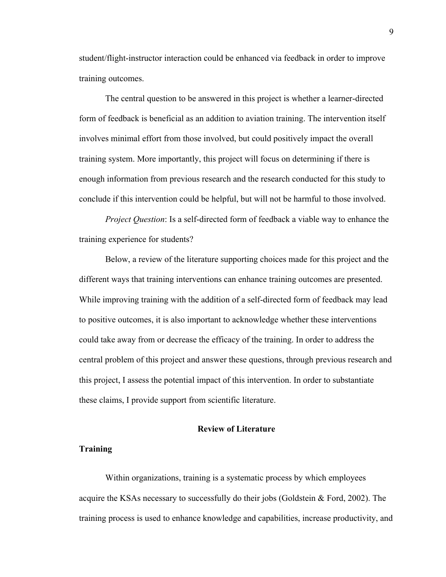student/flight-instructor interaction could be enhanced via feedback in order to improve training outcomes.

The central question to be answered in this project is whether a learner-directed form of feedback is beneficial as an addition to aviation training. The intervention itself involves minimal effort from those involved, but could positively impact the overall training system. More importantly, this project will focus on determining if there is enough information from previous research and the research conducted for this study to conclude if this intervention could be helpful, but will not be harmful to those involved.

*Project Question*: Is a self-directed form of feedback a viable way to enhance the training experience for students?

Below, a review of the literature supporting choices made for this project and the different ways that training interventions can enhance training outcomes are presented. While improving training with the addition of a self-directed form of feedback may lead to positive outcomes, it is also important to acknowledge whether these interventions could take away from or decrease the efficacy of the training. In order to address the central problem of this project and answer these questions, through previous research and this project, I assess the potential impact of this intervention. In order to substantiate these claims, I provide support from scientific literature.

#### **Review of Literature**

#### **Training**

Within organizations, training is a systematic process by which employees acquire the KSAs necessary to successfully do their jobs (Goldstein & Ford, 2002). The training process is used to enhance knowledge and capabilities, increase productivity, and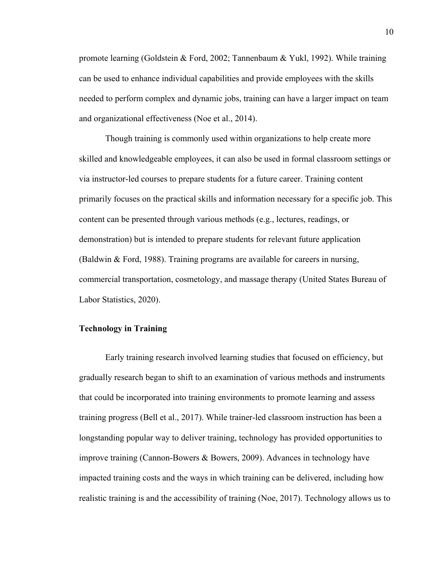promote learning (Goldstein & Ford, 2002; Tannenbaum & Yukl, 1992). While training can be used to enhance individual capabilities and provide employees with the skills needed to perform complex and dynamic jobs, training can have a larger impact on team and organizational effectiveness (Noe et al., 2014).

Though training is commonly used within organizations to help create more skilled and knowledgeable employees, it can also be used in formal classroom settings or via instructor-led courses to prepare students for a future career. Training content primarily focuses on the practical skills and information necessary for a specific job. This content can be presented through various methods (e.g., lectures, readings, or demonstration) but is intended to prepare students for relevant future application (Baldwin & Ford, 1988). Training programs are available for careers in nursing, commercial transportation, cosmetology, and massage therapy (United States Bureau of Labor Statistics, 2020).

#### **Technology in Training**

Early training research involved learning studies that focused on efficiency, but gradually research began to shift to an examination of various methods and instruments that could be incorporated into training environments to promote learning and assess training progress (Bell et al., 2017). While trainer-led classroom instruction has been a longstanding popular way to deliver training, technology has provided opportunities to improve training (Cannon-Bowers & Bowers, 2009). Advances in technology have impacted training costs and the ways in which training can be delivered, including how realistic training is and the accessibility of training (Noe, 2017). Technology allows us to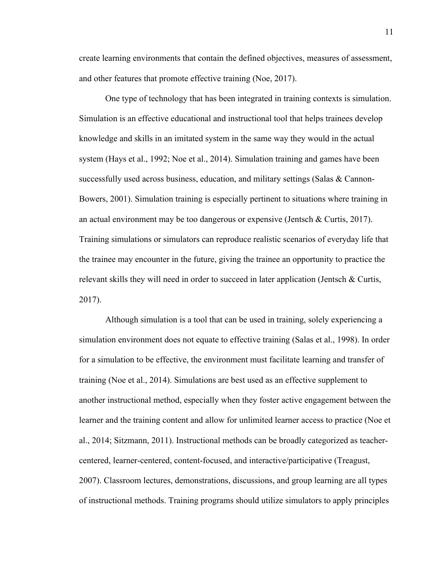create learning environments that contain the defined objectives, measures of assessment, and other features that promote effective training (Noe, 2017).

One type of technology that has been integrated in training contexts is simulation. Simulation is an effective educational and instructional tool that helps trainees develop knowledge and skills in an imitated system in the same way they would in the actual system (Hays et al., 1992; Noe et al., 2014). Simulation training and games have been successfully used across business, education, and military settings (Salas & Cannon-Bowers, 2001). Simulation training is especially pertinent to situations where training in an actual environment may be too dangerous or expensive (Jentsch & Curtis, 2017). Training simulations or simulators can reproduce realistic scenarios of everyday life that the trainee may encounter in the future, giving the trainee an opportunity to practice the relevant skills they will need in order to succeed in later application (Jentsch & Curtis, 2017).

Although simulation is a tool that can be used in training, solely experiencing a simulation environment does not equate to effective training (Salas et al., 1998). In order for a simulation to be effective, the environment must facilitate learning and transfer of training (Noe et al., 2014). Simulations are best used as an effective supplement to another instructional method, especially when they foster active engagement between the learner and the training content and allow for unlimited learner access to practice (Noe et al., 2014; Sitzmann, 2011). Instructional methods can be broadly categorized as teachercentered, learner-centered, content-focused, and interactive/participative (Treagust, 2007). Classroom lectures, demonstrations, discussions, and group learning are all types of instructional methods. Training programs should utilize simulators to apply principles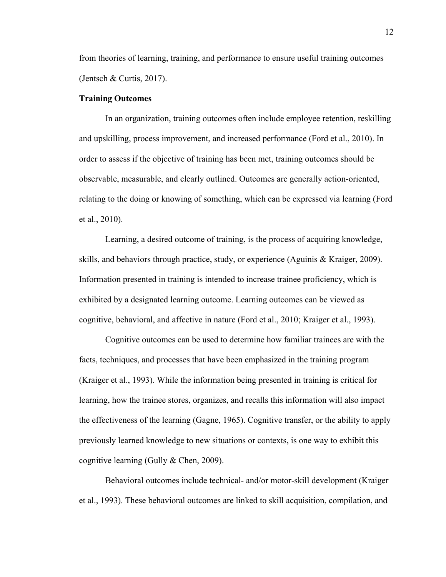from theories of learning, training, and performance to ensure useful training outcomes (Jentsch & Curtis, 2017).

#### **Training Outcomes**

In an organization, training outcomes often include employee retention, reskilling and upskilling, process improvement, and increased performance (Ford et al., 2010). In order to assess if the objective of training has been met, training outcomes should be observable, measurable, and clearly outlined. Outcomes are generally action-oriented, relating to the doing or knowing of something, which can be expressed via learning (Ford et al., 2010).

Learning, a desired outcome of training, is the process of acquiring knowledge, skills, and behaviors through practice, study, or experience (Aguinis & Kraiger, 2009). Information presented in training is intended to increase trainee proficiency, which is exhibited by a designated learning outcome. Learning outcomes can be viewed as cognitive, behavioral, and affective in nature (Ford et al., 2010; Kraiger et al., 1993).

Cognitive outcomes can be used to determine how familiar trainees are with the facts, techniques, and processes that have been emphasized in the training program (Kraiger et al., 1993). While the information being presented in training is critical for learning, how the trainee stores, organizes, and recalls this information will also impact the effectiveness of the learning (Gagne, 1965). Cognitive transfer, or the ability to apply previously learned knowledge to new situations or contexts, is one way to exhibit this cognitive learning (Gully & Chen, 2009).

Behavioral outcomes include technical- and/or motor-skill development (Kraiger et al., 1993). These behavioral outcomes are linked to skill acquisition, compilation, and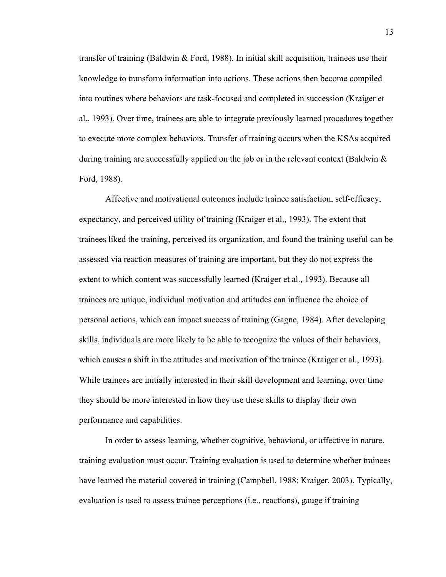transfer of training (Baldwin & Ford, 1988). In initial skill acquisition, trainees use their knowledge to transform information into actions. These actions then become compiled into routines where behaviors are task-focused and completed in succession (Kraiger et al., 1993). Over time, trainees are able to integrate previously learned procedures together to execute more complex behaviors. Transfer of training occurs when the KSAs acquired during training are successfully applied on the job or in the relevant context (Baldwin & Ford, 1988).

Affective and motivational outcomes include trainee satisfaction, self-efficacy, expectancy, and perceived utility of training (Kraiger et al., 1993). The extent that trainees liked the training, perceived its organization, and found the training useful can be assessed via reaction measures of training are important, but they do not express the extent to which content was successfully learned (Kraiger et al., 1993). Because all trainees are unique, individual motivation and attitudes can influence the choice of personal actions, which can impact success of training (Gagne, 1984). After developing skills, individuals are more likely to be able to recognize the values of their behaviors, which causes a shift in the attitudes and motivation of the trainee (Kraiger et al., 1993). While trainees are initially interested in their skill development and learning, over time they should be more interested in how they use these skills to display their own performance and capabilities.

In order to assess learning, whether cognitive, behavioral, or affective in nature, training evaluation must occur. Training evaluation is used to determine whether trainees have learned the material covered in training (Campbell, 1988; Kraiger, 2003). Typically, evaluation is used to assess trainee perceptions (i.e., reactions), gauge if training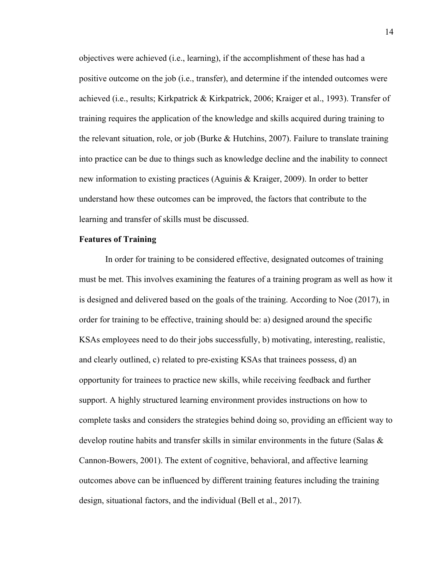objectives were achieved (i.e., learning), if the accomplishment of these has had a positive outcome on the job (i.e., transfer), and determine if the intended outcomes were achieved (i.e., results; Kirkpatrick & Kirkpatrick, 2006; Kraiger et al., 1993). Transfer of training requires the application of the knowledge and skills acquired during training to the relevant situation, role, or job (Burke & Hutchins, 2007). Failure to translate training into practice can be due to things such as knowledge decline and the inability to connect new information to existing practices (Aguinis & Kraiger, 2009). In order to better understand how these outcomes can be improved, the factors that contribute to the learning and transfer of skills must be discussed.

#### **Features of Training**

In order for training to be considered effective, designated outcomes of training must be met. This involves examining the features of a training program as well as how it is designed and delivered based on the goals of the training. According to Noe (2017), in order for training to be effective, training should be: a) designed around the specific KSAs employees need to do their jobs successfully, b) motivating, interesting, realistic, and clearly outlined, c) related to pre-existing KSAs that trainees possess, d) an opportunity for trainees to practice new skills, while receiving feedback and further support. A highly structured learning environment provides instructions on how to complete tasks and considers the strategies behind doing so, providing an efficient way to develop routine habits and transfer skills in similar environments in the future (Salas & Cannon-Bowers, 2001). The extent of cognitive, behavioral, and affective learning outcomes above can be influenced by different training features including the training design, situational factors, and the individual (Bell et al., 2017).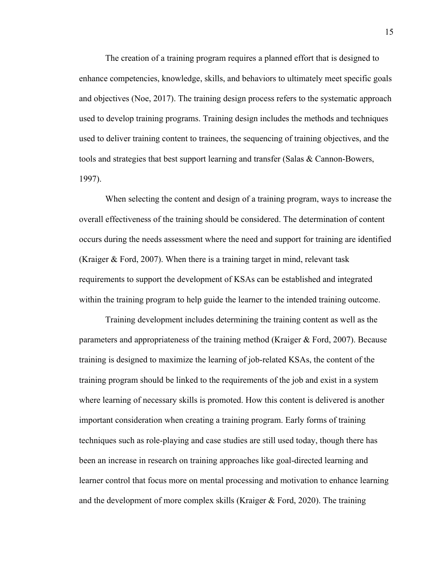The creation of a training program requires a planned effort that is designed to enhance competencies, knowledge, skills, and behaviors to ultimately meet specific goals and objectives (Noe, 2017). The training design process refers to the systematic approach used to develop training programs. Training design includes the methods and techniques used to deliver training content to trainees, the sequencing of training objectives, and the tools and strategies that best support learning and transfer (Salas & Cannon-Bowers, 1997).

When selecting the content and design of a training program, ways to increase the overall effectiveness of the training should be considered. The determination of content occurs during the needs assessment where the need and support for training are identified (Kraiger & Ford, 2007). When there is a training target in mind, relevant task requirements to support the development of KSAs can be established and integrated within the training program to help guide the learner to the intended training outcome.

Training development includes determining the training content as well as the parameters and appropriateness of the training method (Kraiger & Ford, 2007). Because training is designed to maximize the learning of job-related KSAs, the content of the training program should be linked to the requirements of the job and exist in a system where learning of necessary skills is promoted. How this content is delivered is another important consideration when creating a training program. Early forms of training techniques such as role-playing and case studies are still used today, though there has been an increase in research on training approaches like goal-directed learning and learner control that focus more on mental processing and motivation to enhance learning and the development of more complex skills (Kraiger & Ford, 2020). The training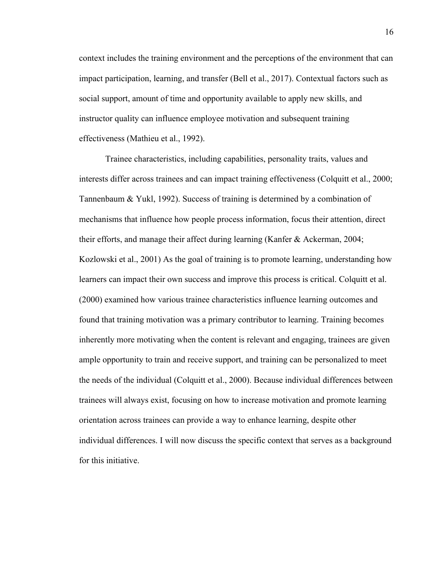context includes the training environment and the perceptions of the environment that can impact participation, learning, and transfer (Bell et al., 2017). Contextual factors such as social support, amount of time and opportunity available to apply new skills, and instructor quality can influence employee motivation and subsequent training effectiveness (Mathieu et al., 1992).

Trainee characteristics, including capabilities, personality traits, values and interests differ across trainees and can impact training effectiveness (Colquitt et al., 2000; Tannenbaum & Yukl, 1992). Success of training is determined by a combination of mechanisms that influence how people process information, focus their attention, direct their efforts, and manage their affect during learning (Kanfer & Ackerman, 2004; Kozlowski et al., 2001) As the goal of training is to promote learning, understanding how learners can impact their own success and improve this process is critical. Colquitt et al. (2000) examined how various trainee characteristics influence learning outcomes and found that training motivation was a primary contributor to learning. Training becomes inherently more motivating when the content is relevant and engaging, trainees are given ample opportunity to train and receive support, and training can be personalized to meet the needs of the individual (Colquitt et al., 2000). Because individual differences between trainees will always exist, focusing on how to increase motivation and promote learning orientation across trainees can provide a way to enhance learning, despite other individual differences. I will now discuss the specific context that serves as a background for this initiative.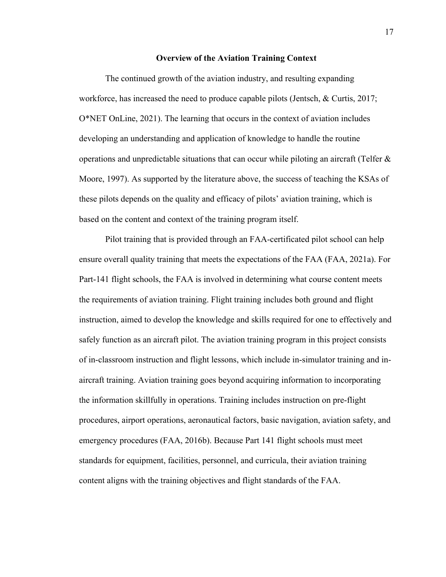#### **Overview of the Aviation Training Context**

The continued growth of the aviation industry, and resulting expanding workforce, has increased the need to produce capable pilots (Jentsch, & Curtis, 2017; O\*NET OnLine, 2021). The learning that occurs in the context of aviation includes developing an understanding and application of knowledge to handle the routine operations and unpredictable situations that can occur while piloting an aircraft (Telfer  $\&$ Moore, 1997). As supported by the literature above, the success of teaching the KSAs of these pilots depends on the quality and efficacy of pilots' aviation training, which is based on the content and context of the training program itself.

Pilot training that is provided through an FAA-certificated pilot school can help ensure overall quality training that meets the expectations of the FAA (FAA, 2021a). For Part-141 flight schools, the FAA is involved in determining what course content meets the requirements of aviation training. Flight training includes both ground and flight instruction, aimed to develop the knowledge and skills required for one to effectively and safely function as an aircraft pilot. The aviation training program in this project consists of in-classroom instruction and flight lessons, which include in-simulator training and inaircraft training. Aviation training goes beyond acquiring information to incorporating the information skillfully in operations. Training includes instruction on pre-flight procedures, airport operations, aeronautical factors, basic navigation, aviation safety, and emergency procedures (FAA, 2016b). Because Part 141 flight schools must meet standards for equipment, facilities, personnel, and curricula, their aviation training content aligns with the training objectives and flight standards of the FAA.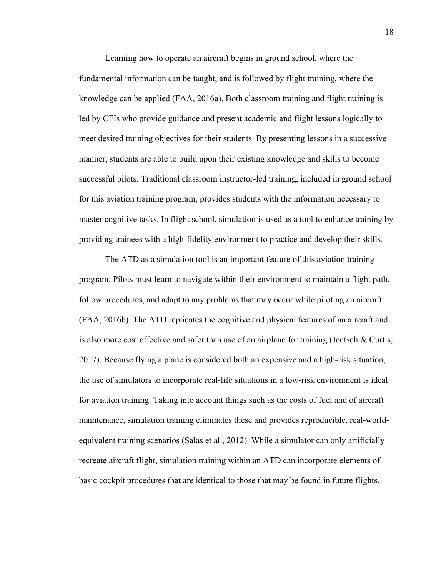Learning how to operate an aircraft begins in ground school, where the fundamental information can be taught, and is followed by flight training, where the knowledge can be applied (FAA, 2016a). Both classroom training and flight training is led by CFIs who provide guidance and present academic and flight lessons logically to meet desired training objectives for their students. By presenting lessons in a successive manner, students are able to build upon their existing knowledge and skills to become successful pilots. Traditional classroom instructor-led training, included in ground school for this aviation training program, provides students with the information necessary to master cognitive tasks. In flight school, simulation is used as a tool to enhance training by providing trainees with a high-fidelity environment to practice and develop their skills.

The ATD as a simulation tool is an important feature of this aviation training program. Pilots must learn to navigate within their environment to maintain a flight path, follow procedures, and adapt to any problems that may occur while piloting an aircraft (FAA, 2016b). The ATD replicates the cognitive and physical features of an aircraft and is also more cost effective and safer than use of an airplane for training (Jentsch  $\&$  Curtis, 2017). Because flying a plane is considered both an expensive and a high-risk situation, the use of simulators to incorporate real-life situations in a low-risk environment is ideal for aviation training. Taking into account things such as the costs of fuel and of aircraft maintenance, simulation training eliminates these and provides reproducible, real-worldequivalent training scenarios (Salas et al., 2012). While a simulator can only artificially recreate aircraft flight, simulation training within an ATD can incorporate elements of basic cockpit procedures that are identical to those that may be found in future flights,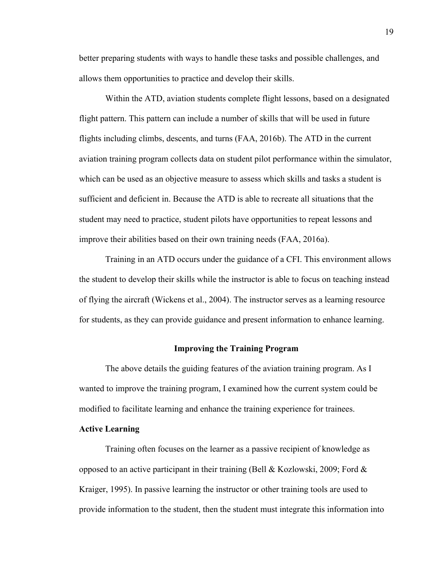better preparing students with ways to handle these tasks and possible challenges, and allows them opportunities to practice and develop their skills.

Within the ATD, aviation students complete flight lessons, based on a designated flight pattern. This pattern can include a number of skills that will be used in future flights including climbs, descents, and turns (FAA, 2016b). The ATD in the current aviation training program collects data on student pilot performance within the simulator, which can be used as an objective measure to assess which skills and tasks a student is sufficient and deficient in. Because the ATD is able to recreate all situations that the student may need to practice, student pilots have opportunities to repeat lessons and improve their abilities based on their own training needs (FAA, 2016a).

Training in an ATD occurs under the guidance of a CFI. This environment allows the student to develop their skills while the instructor is able to focus on teaching instead of flying the aircraft (Wickens et al., 2004). The instructor serves as a learning resource for students, as they can provide guidance and present information to enhance learning.

#### **Improving the Training Program**

The above details the guiding features of the aviation training program. As I wanted to improve the training program, I examined how the current system could be modified to facilitate learning and enhance the training experience for trainees.

#### **Active Learning**

Training often focuses on the learner as a passive recipient of knowledge as opposed to an active participant in their training (Bell & Kozlowski, 2009; Ford & Kraiger, 1995). In passive learning the instructor or other training tools are used to provide information to the student, then the student must integrate this information into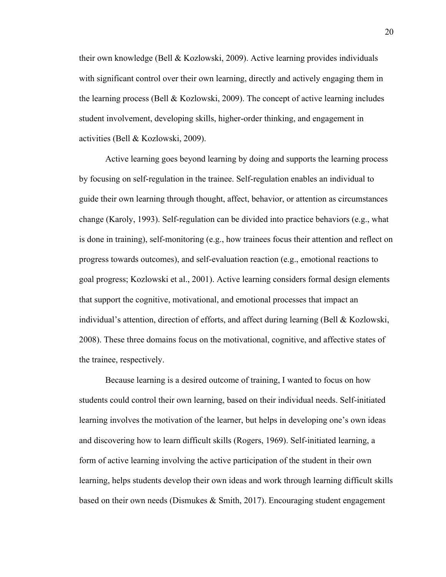their own knowledge (Bell & Kozlowski, 2009). Active learning provides individuals with significant control over their own learning, directly and actively engaging them in the learning process (Bell & Kozlowski, 2009). The concept of active learning includes student involvement, developing skills, higher-order thinking, and engagement in activities (Bell & Kozlowski, 2009).

Active learning goes beyond learning by doing and supports the learning process by focusing on self-regulation in the trainee. Self-regulation enables an individual to guide their own learning through thought, affect, behavior, or attention as circumstances change (Karoly, 1993). Self-regulation can be divided into practice behaviors (e.g., what is done in training), self-monitoring (e.g., how trainees focus their attention and reflect on progress towards outcomes), and self-evaluation reaction (e.g., emotional reactions to goal progress; Kozlowski et al., 2001). Active learning considers formal design elements that support the cognitive, motivational, and emotional processes that impact an individual's attention, direction of efforts, and affect during learning (Bell & Kozlowski, 2008). These three domains focus on the motivational, cognitive, and affective states of the trainee, respectively.

Because learning is a desired outcome of training, I wanted to focus on how students could control their own learning, based on their individual needs. Self-initiated learning involves the motivation of the learner, but helps in developing one's own ideas and discovering how to learn difficult skills (Rogers, 1969). Self-initiated learning, a form of active learning involving the active participation of the student in their own learning, helps students develop their own ideas and work through learning difficult skills based on their own needs (Dismukes & Smith, 2017). Encouraging student engagement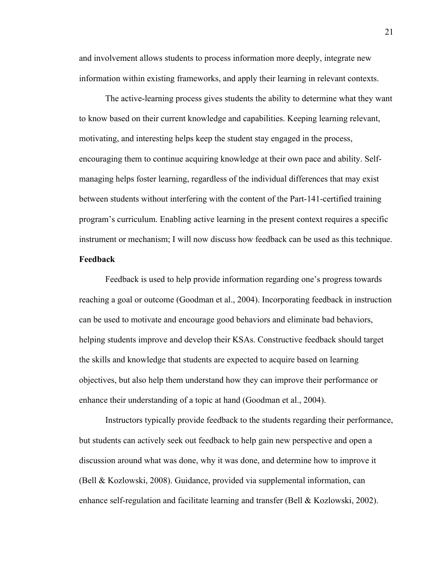and involvement allows students to process information more deeply, integrate new information within existing frameworks, and apply their learning in relevant contexts.

The active-learning process gives students the ability to determine what they want to know based on their current knowledge and capabilities. Keeping learning relevant, motivating, and interesting helps keep the student stay engaged in the process, encouraging them to continue acquiring knowledge at their own pace and ability. Selfmanaging helps foster learning, regardless of the individual differences that may exist between students without interfering with the content of the Part-141-certified training program's curriculum. Enabling active learning in the present context requires a specific instrument or mechanism; I will now discuss how feedback can be used as this technique.

#### **Feedback**

Feedback is used to help provide information regarding one's progress towards reaching a goal or outcome (Goodman et al., 2004). Incorporating feedback in instruction can be used to motivate and encourage good behaviors and eliminate bad behaviors, helping students improve and develop their KSAs. Constructive feedback should target the skills and knowledge that students are expected to acquire based on learning objectives, but also help them understand how they can improve their performance or enhance their understanding of a topic at hand (Goodman et al., 2004).

Instructors typically provide feedback to the students regarding their performance, but students can actively seek out feedback to help gain new perspective and open a discussion around what was done, why it was done, and determine how to improve it (Bell & Kozlowski, 2008). Guidance, provided via supplemental information, can enhance self-regulation and facilitate learning and transfer (Bell & Kozlowski, 2002).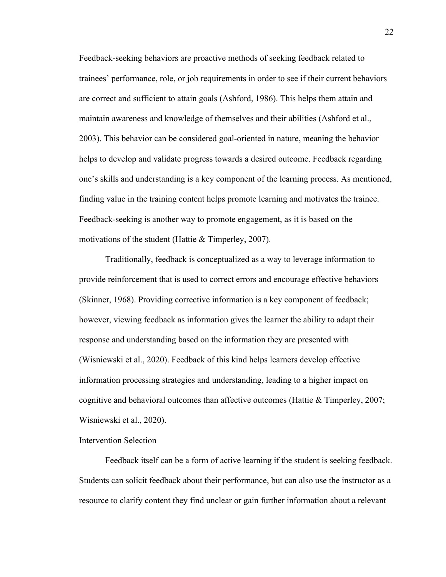Feedback-seeking behaviors are proactive methods of seeking feedback related to trainees' performance, role, or job requirements in order to see if their current behaviors are correct and sufficient to attain goals (Ashford, 1986). This helps them attain and maintain awareness and knowledge of themselves and their abilities (Ashford et al., 2003). This behavior can be considered goal-oriented in nature, meaning the behavior helps to develop and validate progress towards a desired outcome. Feedback regarding one's skills and understanding is a key component of the learning process. As mentioned, finding value in the training content helps promote learning and motivates the trainee. Feedback-seeking is another way to promote engagement, as it is based on the motivations of the student (Hattie & Timperley, 2007).

Traditionally, feedback is conceptualized as a way to leverage information to provide reinforcement that is used to correct errors and encourage effective behaviors (Skinner, 1968). Providing corrective information is a key component of feedback; however, viewing feedback as information gives the learner the ability to adapt their response and understanding based on the information they are presented with (Wisniewski et al., 2020). Feedback of this kind helps learners develop effective information processing strategies and understanding, leading to a higher impact on cognitive and behavioral outcomes than affective outcomes (Hattie & Timperley, 2007; Wisniewski et al., 2020).

#### Intervention Selection

Feedback itself can be a form of active learning if the student is seeking feedback. Students can solicit feedback about their performance, but can also use the instructor as a resource to clarify content they find unclear or gain further information about a relevant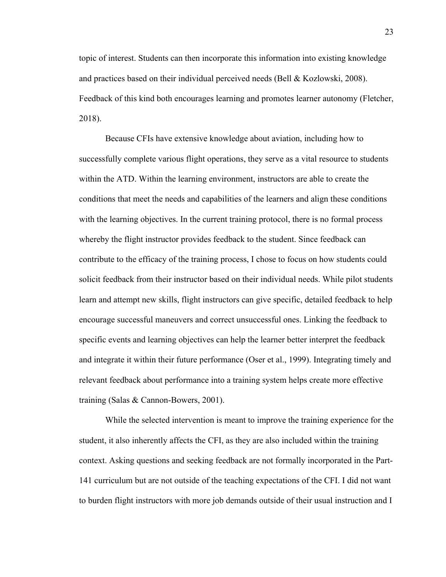topic of interest. Students can then incorporate this information into existing knowledge and practices based on their individual perceived needs (Bell & Kozlowski, 2008). Feedback of this kind both encourages learning and promotes learner autonomy (Fletcher, 2018).

Because CFIs have extensive knowledge about aviation, including how to successfully complete various flight operations, they serve as a vital resource to students within the ATD. Within the learning environment, instructors are able to create the conditions that meet the needs and capabilities of the learners and align these conditions with the learning objectives. In the current training protocol, there is no formal process whereby the flight instructor provides feedback to the student. Since feedback can contribute to the efficacy of the training process, I chose to focus on how students could solicit feedback from their instructor based on their individual needs. While pilot students learn and attempt new skills, flight instructors can give specific, detailed feedback to help encourage successful maneuvers and correct unsuccessful ones. Linking the feedback to specific events and learning objectives can help the learner better interpret the feedback and integrate it within their future performance (Oser et al., 1999). Integrating timely and relevant feedback about performance into a training system helps create more effective training (Salas & Cannon-Bowers, 2001).

While the selected intervention is meant to improve the training experience for the student, it also inherently affects the CFI, as they are also included within the training context. Asking questions and seeking feedback are not formally incorporated in the Part-141 curriculum but are not outside of the teaching expectations of the CFI. I did not want to burden flight instructors with more job demands outside of their usual instruction and I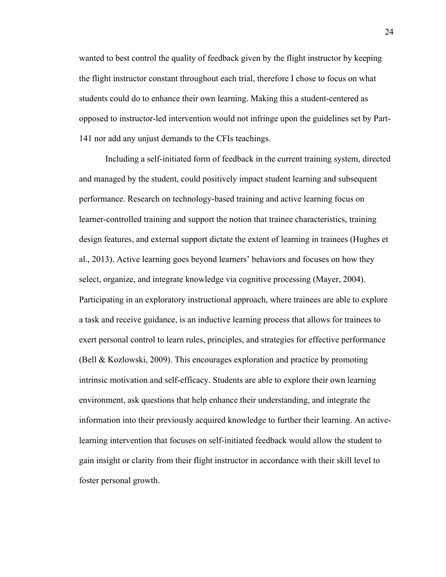wanted to best control the quality of feedback given by the flight instructor by keeping the flight instructor constant throughout each trial, therefore I chose to focus on what students could do to enhance their own learning. Making this a student-centered as opposed to instructor-led intervention would not infringe upon the guidelines set by Part-141 nor add any unjust demands to the CFIs teachings.

Including a self-initiated form of feedback in the current training system, directed and managed by the student, could positively impact student learning and subsequent performance. Research on technology-based training and active learning focus on learner-controlled training and support the notion that trainee characteristics, training design features, and external support dictate the extent of learning in trainees (Hughes et al., 2013). Active learning goes beyond learners' behaviors and focuses on how they select, organize, and integrate knowledge via cognitive processing (Mayer, 2004). Participating in an exploratory instructional approach, where trainees are able to explore a task and receive guidance, is an inductive learning process that allows for trainees to exert personal control to learn rules, principles, and strategies for effective performance (Bell & Kozlowski, 2009). This encourages exploration and practice by promoting intrinsic motivation and self-efficacy. Students are able to explore their own learning environment, ask questions that help enhance their understanding, and integrate the information into their previously acquired knowledge to further their learning. An activelearning intervention that focuses on self-initiated feedback would allow the student to gain insight or clarity from their flight instructor in accordance with their skill level to foster personal growth.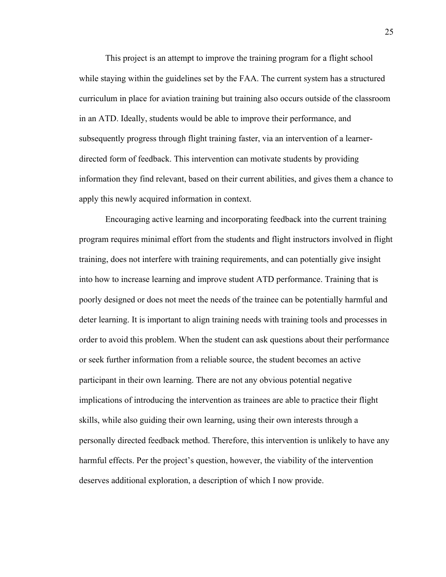This project is an attempt to improve the training program for a flight school while staying within the guidelines set by the FAA. The current system has a structured curriculum in place for aviation training but training also occurs outside of the classroom in an ATD. Ideally, students would be able to improve their performance, and subsequently progress through flight training faster, via an intervention of a learnerdirected form of feedback. This intervention can motivate students by providing information they find relevant, based on their current abilities, and gives them a chance to apply this newly acquired information in context.

Encouraging active learning and incorporating feedback into the current training program requires minimal effort from the students and flight instructors involved in flight training, does not interfere with training requirements, and can potentially give insight into how to increase learning and improve student ATD performance. Training that is poorly designed or does not meet the needs of the trainee can be potentially harmful and deter learning. It is important to align training needs with training tools and processes in order to avoid this problem. When the student can ask questions about their performance or seek further information from a reliable source, the student becomes an active participant in their own learning. There are not any obvious potential negative implications of introducing the intervention as trainees are able to practice their flight skills, while also guiding their own learning, using their own interests through a personally directed feedback method. Therefore, this intervention is unlikely to have any harmful effects. Per the project's question, however, the viability of the intervention deserves additional exploration, a description of which I now provide.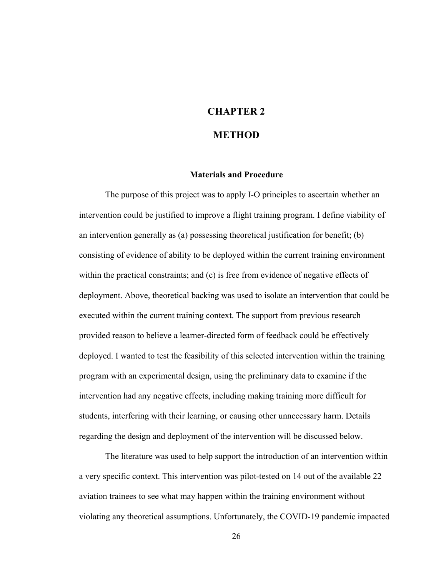## **CHAPTER 2**

#### **METHOD**

#### **Materials and Procedure**

The purpose of this project was to apply I-O principles to ascertain whether an intervention could be justified to improve a flight training program. I define viability of an intervention generally as (a) possessing theoretical justification for benefit; (b) consisting of evidence of ability to be deployed within the current training environment within the practical constraints; and (c) is free from evidence of negative effects of deployment. Above, theoretical backing was used to isolate an intervention that could be executed within the current training context. The support from previous research provided reason to believe a learner-directed form of feedback could be effectively deployed. I wanted to test the feasibility of this selected intervention within the training program with an experimental design, using the preliminary data to examine if the intervention had any negative effects, including making training more difficult for students, interfering with their learning, or causing other unnecessary harm. Details regarding the design and deployment of the intervention will be discussed below.

The literature was used to help support the introduction of an intervention within a very specific context. This intervention was pilot-tested on 14 out of the available 22 aviation trainees to see what may happen within the training environment without violating any theoretical assumptions. Unfortunately, the COVID-19 pandemic impacted

26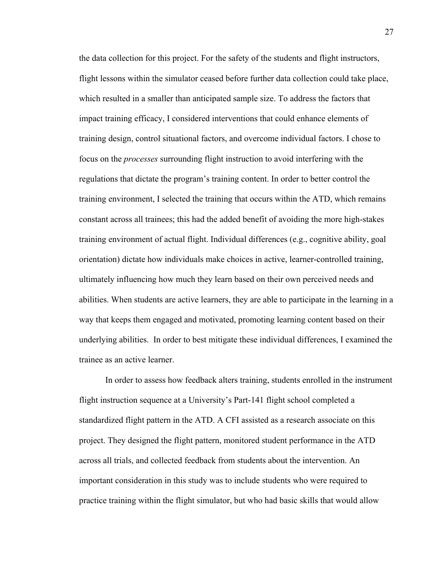the data collection for this project. For the safety of the students and flight instructors, flight lessons within the simulator ceased before further data collection could take place, which resulted in a smaller than anticipated sample size. To address the factors that impact training efficacy, I considered interventions that could enhance elements of training design, control situational factors, and overcome individual factors. I chose to focus on the *processes* surrounding flight instruction to avoid interfering with the regulations that dictate the program's training content. In order to better control the training environment, I selected the training that occurs within the ATD, which remains constant across all trainees; this had the added benefit of avoiding the more high-stakes training environment of actual flight. Individual differences (e.g., cognitive ability, goal orientation) dictate how individuals make choices in active, learner-controlled training, ultimately influencing how much they learn based on their own perceived needs and abilities. When students are active learners, they are able to participate in the learning in a way that keeps them engaged and motivated, promoting learning content based on their underlying abilities. In order to best mitigate these individual differences, I examined the trainee as an active learner.

In order to assess how feedback alters training, students enrolled in the instrument flight instruction sequence at a University's Part-141 flight school completed a standardized flight pattern in the ATD. A CFI assisted as a research associate on this project. They designed the flight pattern, monitored student performance in the ATD across all trials, and collected feedback from students about the intervention. An important consideration in this study was to include students who were required to practice training within the flight simulator, but who had basic skills that would allow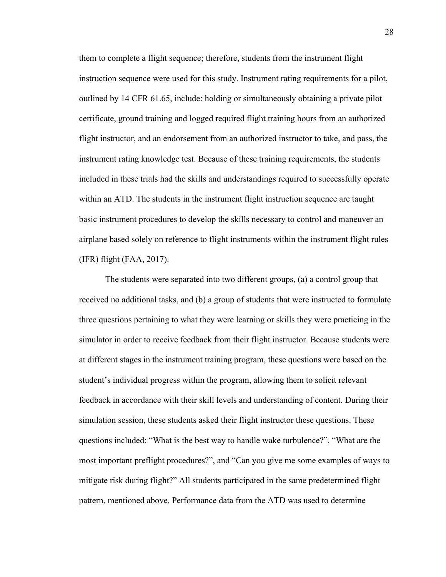them to complete a flight sequence; therefore, students from the instrument flight instruction sequence were used for this study. Instrument rating requirements for a pilot, outlined by 14 CFR 61.65, include: holding or simultaneously obtaining a private pilot certificate, ground training and logged required flight training hours from an authorized flight instructor, and an endorsement from an authorized instructor to take, and pass, the instrument rating knowledge test. Because of these training requirements, the students included in these trials had the skills and understandings required to successfully operate within an ATD. The students in the instrument flight instruction sequence are taught basic instrument procedures to develop the skills necessary to control and maneuver an airplane based solely on reference to flight instruments within the instrument flight rules (IFR) flight (FAA, 2017).

The students were separated into two different groups, (a) a control group that received no additional tasks, and (b) a group of students that were instructed to formulate three questions pertaining to what they were learning or skills they were practicing in the simulator in order to receive feedback from their flight instructor. Because students were at different stages in the instrument training program, these questions were based on the student's individual progress within the program, allowing them to solicit relevant feedback in accordance with their skill levels and understanding of content. During their simulation session, these students asked their flight instructor these questions. These questions included: "What is the best way to handle wake turbulence?", "What are the most important preflight procedures?", and "Can you give me some examples of ways to mitigate risk during flight?" All students participated in the same predetermined flight pattern, mentioned above. Performance data from the ATD was used to determine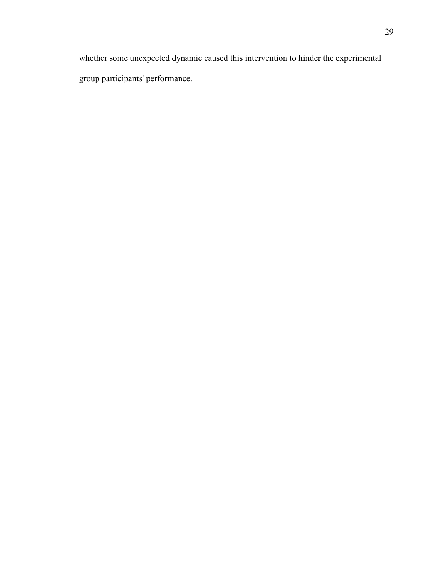whether some unexpected dynamic caused this intervention to hinder the experimental group participants' performance.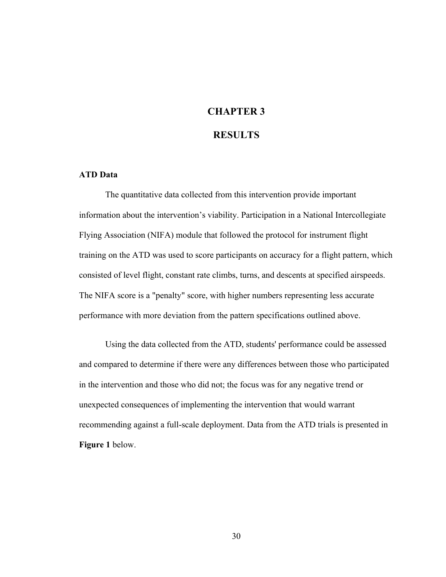## **CHAPTER 3**

#### **RESULTS**

#### **ATD Data**

The quantitative data collected from this intervention provide important information about the intervention's viability. Participation in a National Intercollegiate Flying Association (NIFA) module that followed the protocol for instrument flight training on the ATD was used to score participants on accuracy for a flight pattern, which consisted of level flight, constant rate climbs, turns, and descents at specified airspeeds. The NIFA score is a "penalty" score, with higher numbers representing less accurate performance with more deviation from the pattern specifications outlined above.

Using the data collected from the ATD, students' performance could be assessed and compared to determine if there were any differences between those who participated in the intervention and those who did not; the focus was for any negative trend or unexpected consequences of implementing the intervention that would warrant recommending against a full-scale deployment. Data from the ATD trials is presented in **Figure 1** below.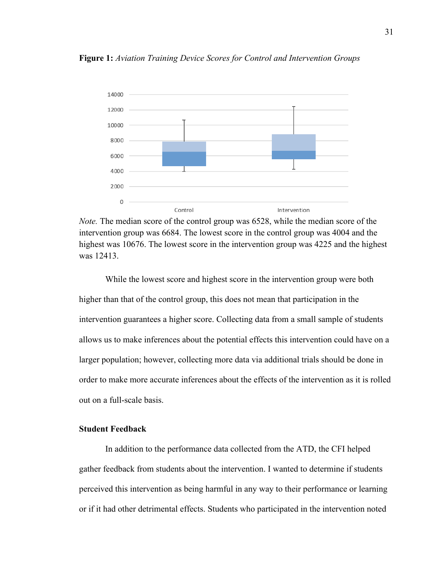

**Figure 1:** *Aviation Training Device Scores for Control and Intervention Groups*



While the lowest score and highest score in the intervention group were both higher than that of the control group, this does not mean that participation in the intervention guarantees a higher score. Collecting data from a small sample of students allows us to make inferences about the potential effects this intervention could have on a larger population; however, collecting more data via additional trials should be done in order to make more accurate inferences about the effects of the intervention as it is rolled out on a full-scale basis.

#### **Student Feedback**

In addition to the performance data collected from the ATD, the CFI helped gather feedback from students about the intervention. I wanted to determine if students perceived this intervention as being harmful in any way to their performance or learning or if it had other detrimental effects. Students who participated in the intervention noted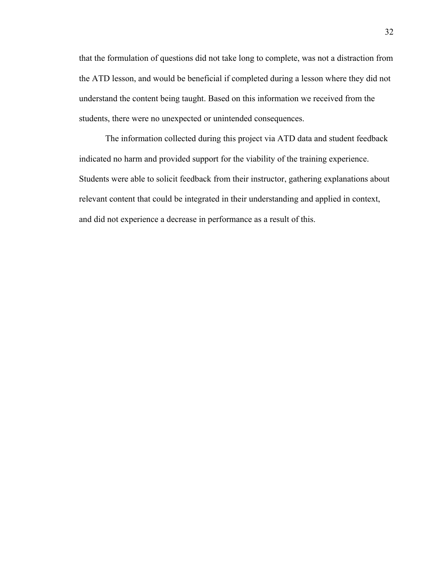that the formulation of questions did not take long to complete, was not a distraction from the ATD lesson, and would be beneficial if completed during a lesson where they did not understand the content being taught. Based on this information we received from the students, there were no unexpected or unintended consequences.

The information collected during this project via ATD data and student feedback indicated no harm and provided support for the viability of the training experience. Students were able to solicit feedback from their instructor, gathering explanations about relevant content that could be integrated in their understanding and applied in context, and did not experience a decrease in performance as a result of this.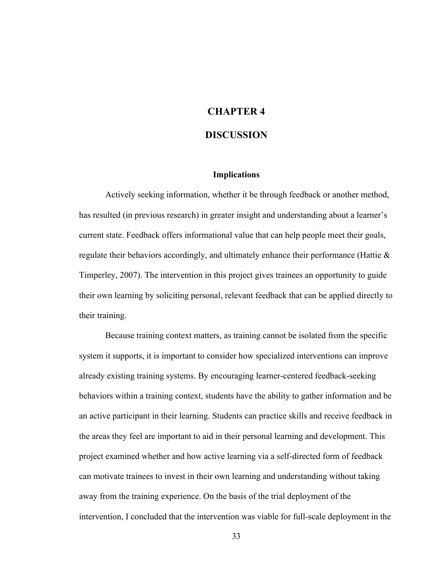## **CHAPTER 4**

#### **DISCUSSION**

#### **Implications**

Actively seeking information, whether it be through feedback or another method, has resulted (in previous research) in greater insight and understanding about a learner's current state. Feedback offers informational value that can help people meet their goals, regulate their behaviors accordingly, and ultimately enhance their performance (Hattie  $\&$ Timperley, 2007). The intervention in this project gives trainees an opportunity to guide their own learning by soliciting personal, relevant feedback that can be applied directly to their training.

Because training context matters, as training cannot be isolated from the specific system it supports, it is important to consider how specialized interventions can improve already existing training systems. By encouraging learner-centered feedback-seeking behaviors within a training context, students have the ability to gather information and be an active participant in their learning. Students can practice skills and receive feedback in the areas they feel are important to aid in their personal learning and development. This project examined whether and how active learning via a self-directed form of feedback can motivate trainees to invest in their own learning and understanding without taking away from the training experience. On the basis of the trial deployment of the intervention, I concluded that the intervention was viable for full-scale deployment in the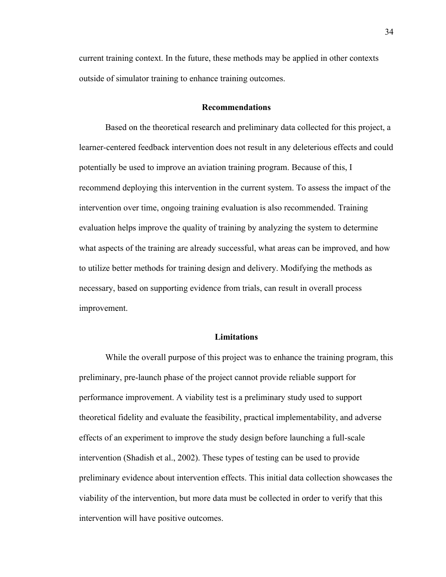current training context. In the future, these methods may be applied in other contexts outside of simulator training to enhance training outcomes.

#### **Recommendations**

Based on the theoretical research and preliminary data collected for this project, a learner-centered feedback intervention does not result in any deleterious effects and could potentially be used to improve an aviation training program. Because of this, I recommend deploying this intervention in the current system. To assess the impact of the intervention over time, ongoing training evaluation is also recommended. Training evaluation helps improve the quality of training by analyzing the system to determine what aspects of the training are already successful, what areas can be improved, and how to utilize better methods for training design and delivery. Modifying the methods as necessary, based on supporting evidence from trials, can result in overall process improvement.

#### **Limitations**

While the overall purpose of this project was to enhance the training program, this preliminary, pre-launch phase of the project cannot provide reliable support for performance improvement. A viability test is a preliminary study used to support theoretical fidelity and evaluate the feasibility, practical implementability, and adverse effects of an experiment to improve the study design before launching a full-scale intervention (Shadish et al., 2002). These types of testing can be used to provide preliminary evidence about intervention effects. This initial data collection showcases the viability of the intervention, but more data must be collected in order to verify that this intervention will have positive outcomes.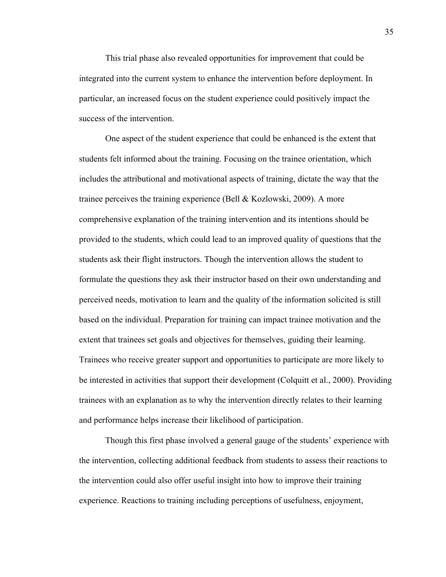This trial phase also revealed opportunities for improvement that could be integrated into the current system to enhance the intervention before deployment. In particular, an increased focus on the student experience could positively impact the success of the intervention.

One aspect of the student experience that could be enhanced is the extent that students felt informed about the training. Focusing on the trainee orientation, which includes the attributional and motivational aspects of training, dictate the way that the trainee perceives the training experience (Bell & Kozlowski, 2009). A more comprehensive explanation of the training intervention and its intentions should be provided to the students, which could lead to an improved quality of questions that the students ask their flight instructors. Though the intervention allows the student to formulate the questions they ask their instructor based on their own understanding and perceived needs, motivation to learn and the quality of the information solicited is still based on the individual. Preparation for training can impact trainee motivation and the extent that trainees set goals and objectives for themselves, guiding their learning. Trainees who receive greater support and opportunities to participate are more likely to be interested in activities that support their development (Colquitt et al., 2000). Providing trainees with an explanation as to why the intervention directly relates to their learning and performance helps increase their likelihood of participation.

Though this first phase involved a general gauge of the students' experience with the intervention, collecting additional feedback from students to assess their reactions to the intervention could also offer useful insight into how to improve their training experience. Reactions to training including perceptions of usefulness, enjoyment,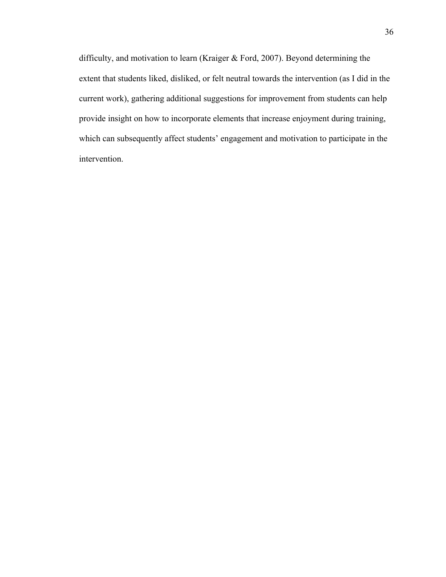difficulty, and motivation to learn (Kraiger & Ford, 2007). Beyond determining the extent that students liked, disliked, or felt neutral towards the intervention (as I did in the current work), gathering additional suggestions for improvement from students can help provide insight on how to incorporate elements that increase enjoyment during training, which can subsequently affect students' engagement and motivation to participate in the intervention.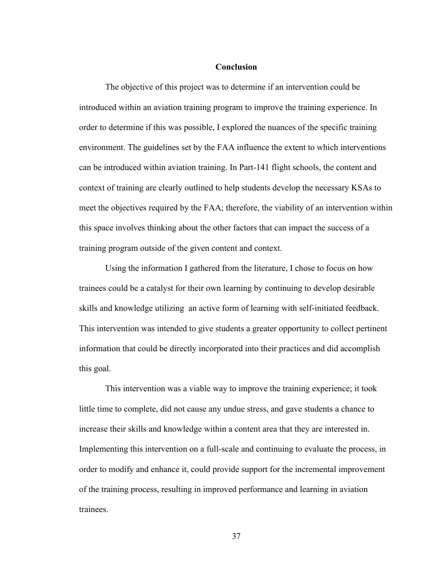#### **Conclusion**

The objective of this project was to determine if an intervention could be introduced within an aviation training program to improve the training experience. In order to determine if this was possible, I explored the nuances of the specific training environment. The guidelines set by the FAA influence the extent to which interventions can be introduced within aviation training. In Part-141 flight schools, the content and context of training are clearly outlined to help students develop the necessary KSAs to meet the objectives required by the FAA; therefore, the viability of an intervention within this space involves thinking about the other factors that can impact the success of a training program outside of the given content and context.

Using the information I gathered from the literature, I chose to focus on how trainees could be a catalyst for their own learning by continuing to develop desirable skills and knowledge utilizing an active form of learning with self-initiated feedback. This intervention was intended to give students a greater opportunity to collect pertinent information that could be directly incorporated into their practices and did accomplish this goal.

This intervention was a viable way to improve the training experience; it took little time to complete, did not cause any undue stress, and gave students a chance to increase their skills and knowledge within a content area that they are interested in. Implementing this intervention on a full-scale and continuing to evaluate the process, in order to modify and enhance it, could provide support for the incremental improvement of the training process, resulting in improved performance and learning in aviation trainees.

37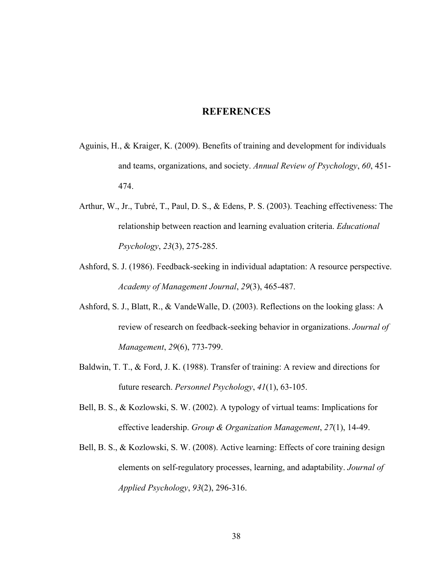### **REFERENCES**

- Aguinis, H., & Kraiger, K. (2009). Benefits of training and development for individuals and teams, organizations, and society. *Annual Review of Psychology*, *60*, 451- 474.
- Arthur, W., Jr., Tubré, T., Paul, D. S., & Edens, P. S. (2003). Teaching effectiveness: The relationship between reaction and learning evaluation criteria. *Educational Psychology*, *23*(3), 275-285.
- Ashford, S. J. (1986). Feedback-seeking in individual adaptation: A resource perspective. *Academy of Management Journal*, *29*(3), 465-487.
- Ashford, S. J., Blatt, R., & VandeWalle, D. (2003). Reflections on the looking glass: A review of research on feedback-seeking behavior in organizations. *Journal of Management*, *29*(6), 773-799.
- Baldwin, T. T., & Ford, J. K. (1988). Transfer of training: A review and directions for future research. *Personnel Psychology*, *41*(1), 63-105.
- Bell, B. S., & Kozlowski, S. W. (2002). A typology of virtual teams: Implications for effective leadership. *Group & Organization Management*, *27*(1), 14-49.
- Bell, B. S., & Kozlowski, S. W. (2008). Active learning: Effects of core training design elements on self-regulatory processes, learning, and adaptability. *Journal of Applied Psychology*, *93*(2), 296-316.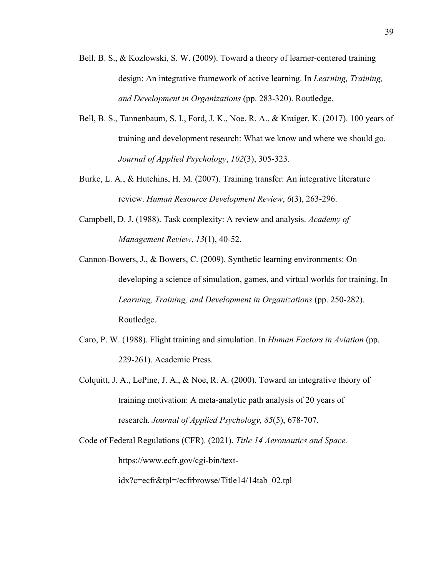- Bell, B. S., & Kozlowski, S. W. (2009). Toward a theory of learner-centered training design: An integrative framework of active learning. In *Learning, Training, and Development in Organizations* (pp. 283-320). Routledge.
- Bell, B. S., Tannenbaum, S. I., Ford, J. K., Noe, R. A., & Kraiger, K. (2017). 100 years of training and development research: What we know and where we should go. *Journal of Applied Psychology*, *102*(3), 305-323.
- Burke, L. A., & Hutchins, H. M. (2007). Training transfer: An integrative literature review. *Human Resource Development Review*, *6*(3), 263-296.
- Campbell, D. J. (1988). Task complexity: A review and analysis. *Academy of Management Review*, *13*(1), 40-52.
- Cannon-Bowers, J., & Bowers, C. (2009). Synthetic learning environments: On developing a science of simulation, games, and virtual worlds for training. In *Learning, Training, and Development in Organizations* (pp. 250-282). Routledge.
- Caro, P. W. (1988). Flight training and simulation. In *Human Factors in Aviation* (pp. 229-261). Academic Press.
- Colquitt, J. A., LePine, J. A., & Noe, R. A. (2000). Toward an integrative theory of training motivation: A meta-analytic path analysis of 20 years of research. *Journal of Applied Psychology, 85*(5), 678-707.
- Code of Federal Regulations (CFR). (2021). *Title 14 Aeronautics and Space.* https://www.ecfr.gov/cgi-bin/text-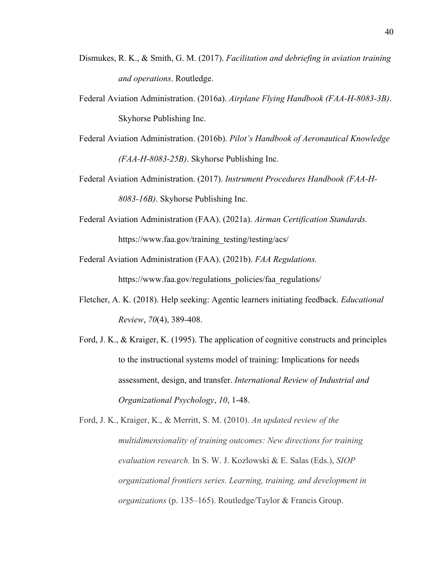- Dismukes, R. K., & Smith, G. M. (2017). *Facilitation and debriefing in aviation training and operations*. Routledge.
- Federal Aviation Administration. (2016a). *Airplane Flying Handbook (FAA-H-8083-3B)*. Skyhorse Publishing Inc.
- Federal Aviation Administration. (2016b). *Pilot's Handbook of Aeronautical Knowledge (FAA-H-8083-25B)*. Skyhorse Publishing Inc.
- Federal Aviation Administration. (2017). *Instrument Procedures Handbook (FAA-H-8083-16B)*. Skyhorse Publishing Inc.
- Federal Aviation Administration (FAA). (2021a). *Airman Certification Standards.* https://www.faa.gov/training\_testing/testing/acs/
- Federal Aviation Administration (FAA). (2021b). *FAA Regulations.*

https://www.faa.gov/regulations\_policies/faa\_regulations/

- Fletcher, A. K. (2018). Help seeking: Agentic learners initiating feedback. *Educational Review*, *70*(4), 389-408.
- Ford, J. K., & Kraiger, K. (1995). The application of cognitive constructs and principles to the instructional systems model of training: Implications for needs assessment, design, and transfer. *International Review of Industrial and Organizational Psychology*, *10*, 1-48.

Ford, J. K., Kraiger, K., & Merritt, S. M. (2010). *An updated review of the multidimensionality of training outcomes: New directions for training evaluation research.* In S. W. J. Kozlowski & E. Salas (Eds.), *SIOP organizational frontiers series. Learning, training, and development in organizations* (p. 135–165). Routledge/Taylor & Francis Group.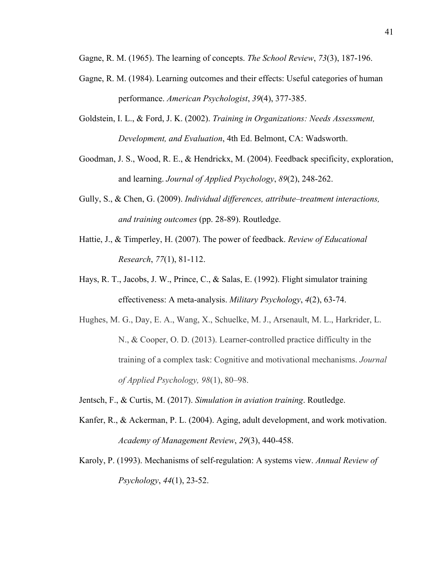Gagne, R. M. (1965). The learning of concepts. *The School Review*, *73*(3), 187-196.

- Gagne, R. M. (1984). Learning outcomes and their effects: Useful categories of human performance. *American Psychologist*, *39*(4), 377-385.
- Goldstein, I. L., & Ford, J. K. (2002). *Training in Organizations: Needs Assessment, Development, and Evaluation*, 4th Ed. Belmont, CA: Wadsworth.
- Goodman, J. S., Wood, R. E., & Hendrickx, M. (2004). Feedback specificity, exploration, and learning. *Journal of Applied Psychology*, *89*(2), 248-262.
- Gully, S., & Chen, G. (2009). *Individual differences, attribute–treatment interactions, and training outcomes* (pp. 28-89). Routledge.
- Hattie, J., & Timperley, H. (2007). The power of feedback. *Review of Educational Research*, *77*(1), 81-112.
- Hays, R. T., Jacobs, J. W., Prince, C., & Salas, E. (1992). Flight simulator training effectiveness: A meta-analysis. *Military Psychology*, *4*(2), 63-74.
- Hughes, M. G., Day, E. A., Wang, X., Schuelke, M. J., Arsenault, M. L., Harkrider, L. N., & Cooper, O. D. (2013). Learner-controlled practice difficulty in the training of a complex task: Cognitive and motivational mechanisms. *Journal of Applied Psychology, 98*(1), 80–98.
- Jentsch, F., & Curtis, M. (2017). *Simulation in aviation training*. Routledge.
- Kanfer, R., & Ackerman, P. L. (2004). Aging, adult development, and work motivation. *Academy of Management Review*, *29*(3), 440-458.
- Karoly, P. (1993). Mechanisms of self-regulation: A systems view. *Annual Review of Psychology*, *44*(1), 23-52.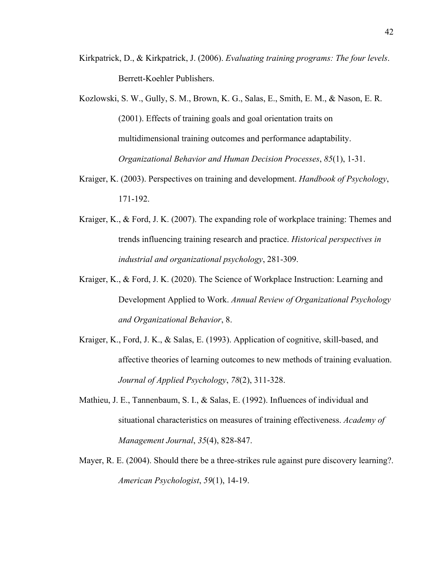- Kirkpatrick, D., & Kirkpatrick, J. (2006). *Evaluating training programs: The four levels*. Berrett-Koehler Publishers.
- Kozlowski, S. W., Gully, S. M., Brown, K. G., Salas, E., Smith, E. M., & Nason, E. R. (2001). Effects of training goals and goal orientation traits on multidimensional training outcomes and performance adaptability. *Organizational Behavior and Human Decision Processes*, *85*(1), 1-31.
- Kraiger, K. (2003). Perspectives on training and development. *Handbook of Psychology*, 171-192.
- Kraiger, K., & Ford, J. K. (2007). The expanding role of workplace training: Themes and trends influencing training research and practice. *Historical perspectives in industrial and organizational psychology*, 281-309.
- Kraiger, K., & Ford, J. K. (2020). The Science of Workplace Instruction: Learning and Development Applied to Work. *Annual Review of Organizational Psychology and Organizational Behavior*, 8.
- Kraiger, K., Ford, J. K., & Salas, E. (1993). Application of cognitive, skill-based, and affective theories of learning outcomes to new methods of training evaluation. *Journal of Applied Psychology*, *78*(2), 311-328.
- Mathieu, J. E., Tannenbaum, S. I., & Salas, E. (1992). Influences of individual and situational characteristics on measures of training effectiveness. *Academy of Management Journal*, *35*(4), 828-847.
- Mayer, R. E. (2004). Should there be a three-strikes rule against pure discovery learning?. *American Psychologist*, *59*(1), 14-19.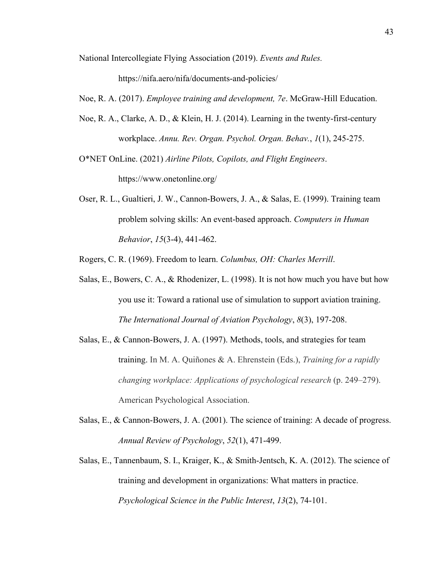National Intercollegiate Flying Association (2019). *Events and Rules.*

https://nifa.aero/nifa/documents-and-policies/

Noe, R. A. (2017). *Employee training and development, 7e*. McGraw-Hill Education.

Noe, R. A., Clarke, A. D., & Klein, H. J. (2014). Learning in the twenty-first-century workplace. *Annu. Rev. Organ. Psychol. Organ. Behav.*, *1*(1), 245-275.

O\*NET OnLine. (2021) *Airline Pilots, Copilots, and Flight Engineers*. https://www.onetonline.org/

Oser, R. L., Gualtieri, J. W., Cannon-Bowers, J. A., & Salas, E. (1999). Training team problem solving skills: An event-based approach. *Computers in Human Behavior*, *15*(3-4), 441-462.

Rogers, C. R. (1969). Freedom to learn. *Columbus, OH: Charles Merrill*.

- Salas, E., Bowers, C. A., & Rhodenizer, L. (1998). It is not how much you have but how you use it: Toward a rational use of simulation to support aviation training. *The International Journal of Aviation Psychology*, *8*(3), 197-208.
- Salas, E., & Cannon-Bowers, J. A. (1997). Methods, tools, and strategies for team training. In M. A. Quiñones & A. Ehrenstein (Eds.), *Training for a rapidly changing workplace: Applications of psychological research* (p. 249–279). American Psychological Association.
- Salas, E., & Cannon-Bowers, J. A. (2001). The science of training: A decade of progress. *Annual Review of Psychology*, *52*(1), 471-499.
- Salas, E., Tannenbaum, S. I., Kraiger, K., & Smith-Jentsch, K. A. (2012). The science of training and development in organizations: What matters in practice. *Psychological Science in the Public Interest*, *13*(2), 74-101.